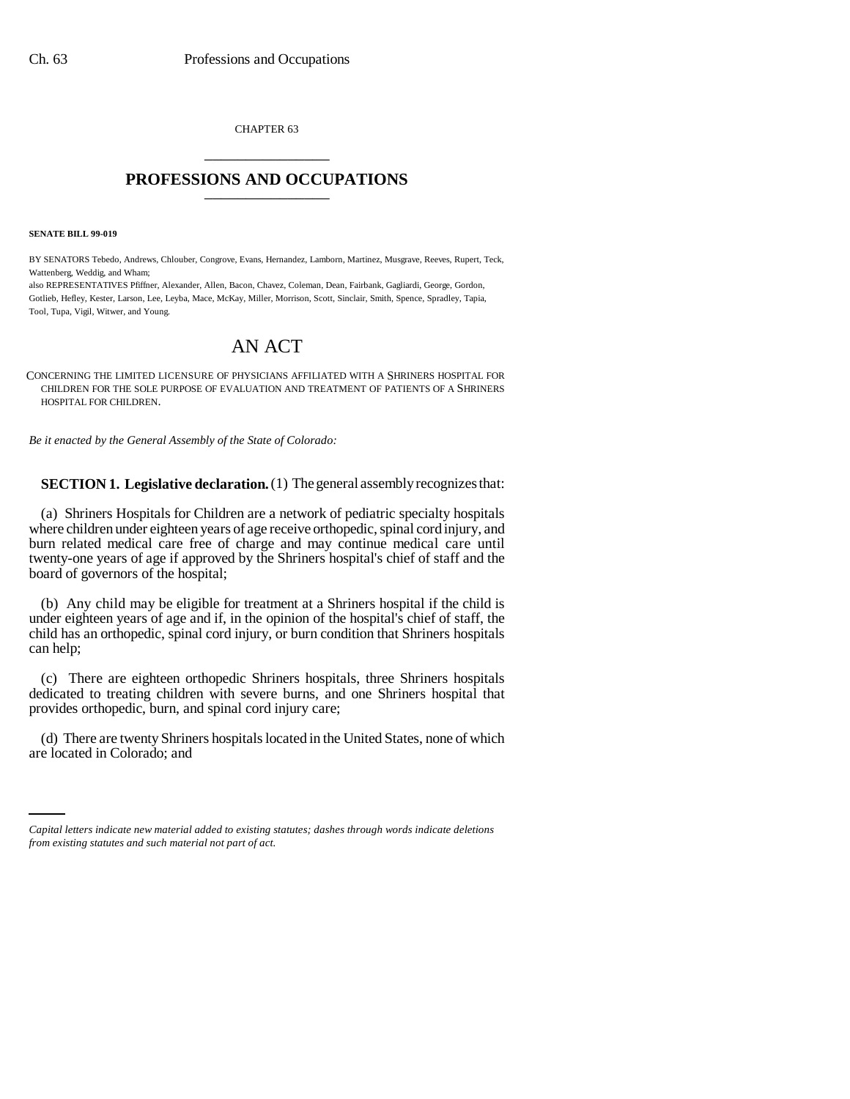CHAPTER 63 \_\_\_\_\_\_\_\_\_\_\_\_\_\_\_

## **PROFESSIONS AND OCCUPATIONS** \_\_\_\_\_\_\_\_\_\_\_\_\_\_\_

**SENATE BILL 99-019** 

BY SENATORS Tebedo, Andrews, Chlouber, Congrove, Evans, Hernandez, Lamborn, Martinez, Musgrave, Reeves, Rupert, Teck, Wattenberg, Weddig, and Wham;

also REPRESENTATIVES Pfiffner, Alexander, Allen, Bacon, Chavez, Coleman, Dean, Fairbank, Gagliardi, George, Gordon, Gotlieb, Hefley, Kester, Larson, Lee, Leyba, Mace, McKay, Miller, Morrison, Scott, Sinclair, Smith, Spence, Spradley, Tapia, Tool, Tupa, Vigil, Witwer, and Young.

## AN ACT

CONCERNING THE LIMITED LICENSURE OF PHYSICIANS AFFILIATED WITH A SHRINERS HOSPITAL FOR CHILDREN FOR THE SOLE PURPOSE OF EVALUATION AND TREATMENT OF PATIENTS OF A SHRINERS HOSPITAL FOR CHILDREN.

*Be it enacted by the General Assembly of the State of Colorado:*

**SECTION 1. Legislative declaration.** (1) The general assembly recognizes that:

(a) Shriners Hospitals for Children are a network of pediatric specialty hospitals where children under eighteen years of age receive orthopedic, spinal cord injury, and burn related medical care free of charge and may continue medical care until twenty-one years of age if approved by the Shriners hospital's chief of staff and the board of governors of the hospital;

(b) Any child may be eligible for treatment at a Shriners hospital if the child is under eighteen years of age and if, in the opinion of the hospital's chief of staff, the child has an orthopedic, spinal cord injury, or burn condition that Shriners hospitals can help;

(c) There are eighteen orthopedic Shriners hospitals, three Shriners hospitals dedicated to treating children with severe burns, and one Shriners hospital that provides orthopedic, burn, and spinal cord injury care;

(d) There are twenty Shriners hospitals located in the United States, none of which are located in Colorado; and

*Capital letters indicate new material added to existing statutes; dashes through words indicate deletions from existing statutes and such material not part of act.*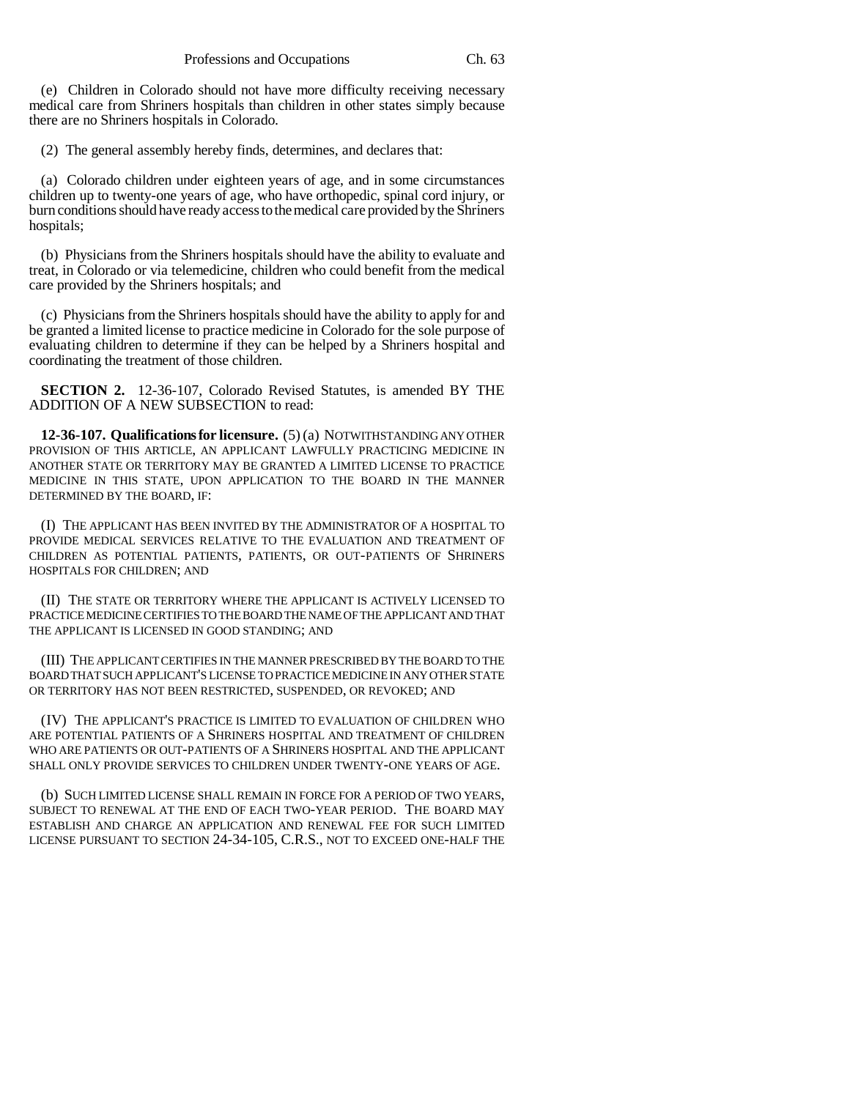(e) Children in Colorado should not have more difficulty receiving necessary medical care from Shriners hospitals than children in other states simply because there are no Shriners hospitals in Colorado.

(2) The general assembly hereby finds, determines, and declares that:

(a) Colorado children under eighteen years of age, and in some circumstances children up to twenty-one years of age, who have orthopedic, spinal cord injury, or burn conditions should have ready access to the medical care provided by the Shriners hospitals;

(b) Physicians from the Shriners hospitals should have the ability to evaluate and treat, in Colorado or via telemedicine, children who could benefit from the medical care provided by the Shriners hospitals; and

(c) Physicians from the Shriners hospitals should have the ability to apply for and be granted a limited license to practice medicine in Colorado for the sole purpose of evaluating children to determine if they can be helped by a Shriners hospital and coordinating the treatment of those children.

**SECTION 2.** 12-36-107, Colorado Revised Statutes, is amended BY THE ADDITION OF A NEW SUBSECTION to read:

**12-36-107. Qualifications for licensure.** (5) (a) NOTWITHSTANDING ANY OTHER PROVISION OF THIS ARTICLE, AN APPLICANT LAWFULLY PRACTICING MEDICINE IN ANOTHER STATE OR TERRITORY MAY BE GRANTED A LIMITED LICENSE TO PRACTICE MEDICINE IN THIS STATE, UPON APPLICATION TO THE BOARD IN THE MANNER DETERMINED BY THE BOARD, IF:

(I) THE APPLICANT HAS BEEN INVITED BY THE ADMINISTRATOR OF A HOSPITAL TO PROVIDE MEDICAL SERVICES RELATIVE TO THE EVALUATION AND TREATMENT OF CHILDREN AS POTENTIAL PATIENTS, PATIENTS, OR OUT-PATIENTS OF SHRINERS HOSPITALS FOR CHILDREN; AND

(II) THE STATE OR TERRITORY WHERE THE APPLICANT IS ACTIVELY LICENSED TO PRACTICE MEDICINE CERTIFIES TO THE BOARD THE NAME OF THE APPLICANT AND THAT THE APPLICANT IS LICENSED IN GOOD STANDING; AND

(III) THE APPLICANT CERTIFIES IN THE MANNER PRESCRIBED BY THE BOARD TO THE BOARD THAT SUCH APPLICANT'S LICENSE TO PRACTICE MEDICINE IN ANY OTHER STATE OR TERRITORY HAS NOT BEEN RESTRICTED, SUSPENDED, OR REVOKED; AND

(IV) THE APPLICANT'S PRACTICE IS LIMITED TO EVALUATION OF CHILDREN WHO ARE POTENTIAL PATIENTS OF A SHRINERS HOSPITAL AND TREATMENT OF CHILDREN WHO ARE PATIENTS OR OUT-PATIENTS OF A SHRINERS HOSPITAL AND THE APPLICANT SHALL ONLY PROVIDE SERVICES TO CHILDREN UNDER TWENTY-ONE YEARS OF AGE.

(b) SUCH LIMITED LICENSE SHALL REMAIN IN FORCE FOR A PERIOD OF TWO YEARS, SUBJECT TO RENEWAL AT THE END OF EACH TWO-YEAR PERIOD. THE BOARD MAY ESTABLISH AND CHARGE AN APPLICATION AND RENEWAL FEE FOR SUCH LIMITED LICENSE PURSUANT TO SECTION 24-34-105, C.R.S., NOT TO EXCEED ONE-HALF THE